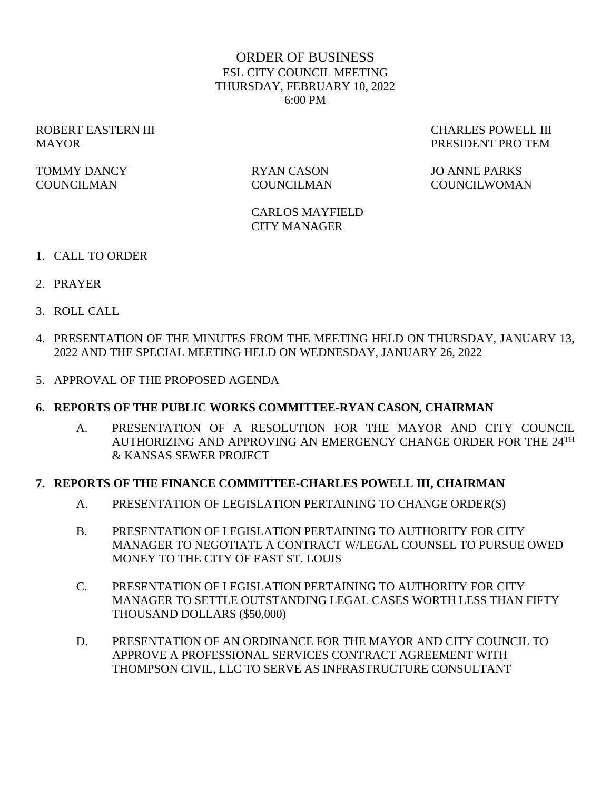# ORDER OF BUSINESS ESL CITY COUNCIL MEETING THURSDAY, FEBRUARY 10, 2022 6:00 PM

TOMMY DANCY RYAN CASON JO ANNE PARKS

ROBERT EASTERN III CHARLES POWELL III MAYOR PRESIDENT PRO TEM

COUNCILMAN COUNCILMAN COUNCILWOMAN

CARLOS MAYFIELD CITY MANAGER

- 1. CALL TO ORDER
- 2. PRAYER
- 3. ROLL CALL
- 4. PRESENTATION OF THE MINUTES FROM THE MEETING HELD ON THURSDAY, JANUARY 13, 2022 AND THE SPECIAL MEETING HELD ON WEDNESDAY, JANUARY 26, 2022
- 5. APPROVAL OF THE PROPOSED AGENDA

#### **6. REPORTS OF THE PUBLIC WORKS COMMITTEE-RYAN CASON, CHAIRMAN**

A. PRESENTATION OF A RESOLUTION FOR THE MAYOR AND CITY COUNCIL AUTHORIZING AND APPROVING AN EMERGENCY CHANGE ORDER FOR THE 24TH & KANSAS SEWER PROJECT

#### **7. REPORTS OF THE FINANCE COMMITTEE-CHARLES POWELL III, CHAIRMAN**

- A. PRESENTATION OF LEGISLATION PERTAINING TO CHANGE ORDER(S)
- B. PRESENTATION OF LEGISLATION PERTAINING TO AUTHORITY FOR CITY MANAGER TO NEGOTIATE A CONTRACT W/LEGAL COUNSEL TO PURSUE OWED MONEY TO THE CITY OF EAST ST. LOUIS
- C. PRESENTATION OF LEGISLATION PERTAINING TO AUTHORITY FOR CITY MANAGER TO SETTLE OUTSTANDING LEGAL CASES WORTH LESS THAN FIFTY THOUSAND DOLLARS (\$50,000)
- D. PRESENTATION OF AN ORDINANCE FOR THE MAYOR AND CITY COUNCIL TO APPROVE A PROFESSIONAL SERVICES CONTRACT AGREEMENT WITH THOMPSON CIVIL, LLC TO SERVE AS INFRASTRUCTURE CONSULTANT